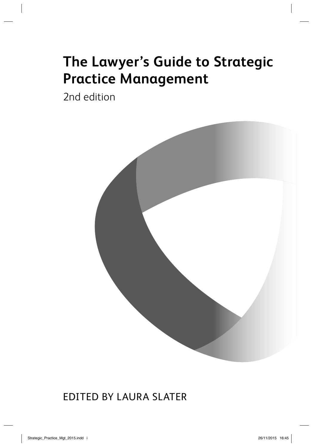2nd edition



## EDITED BY LAURA SLATER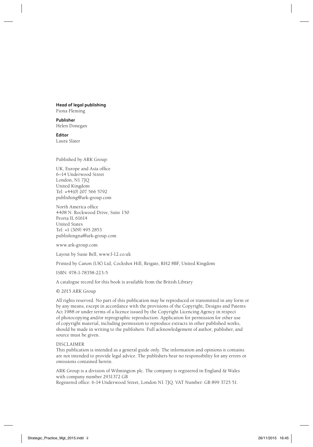#### **Head of legal publishing** Fiona Fleming

**Publisher** Helen Donegan

**Editor** Laura Slater

Published by ARK Group:

UK, Europe and Asia office 6–14 Underwood Street London, N1 7JQ United Kingdom Tel: +44(0) 207 566 5792 publishing@ark-group.com

North America office 4408 N. Rockwood Drive, Suite 150 Peoria IL 61614 United States Tel: +1 (309) 495 2853 publishingna@ark-group.com

www.ark-group.com

Layout by Susie Bell, www.f-12.co.uk

Printed by Canon (UK) Ltd, Cockshot Hill, Reigate, RH2 8BF, United Kingdom

ISBN: 978-1-78358-223-5

A catalogue record for this book is available from the British Library

© 2015 ARK Group

All rights reserved. No part of this publication may be reproduced or transmitted in any form or by any means, except in accordance with the provisions of the Copyright, Designs and Patents Act 1988 or under terms of a licence issued by the Copyright Licencing Agency in respect of photocopying and/or reprographic reproduction. Application for permission for other use of copyright material, including permission to reproduce extracts in other published works, should be made in writing to the publishers. Full acknowledgement of author, publisher, and source must be given.

DISCLAIMER

This publication is intended as a general guide only. The information and opinions it contains are not intended to provide legal advice. The publishers bear no responsibility for any errors or omissions contained herein.

ARK Group is a division of Wilmington plc. The company is registered in England & Wales with company number 2931372 GB

Registered office: 6-14 Underwood Street, London N1 7JQ. VAT Number: GB 899 3725 51.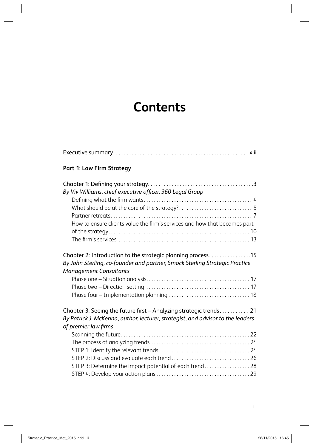| <b>Part 1: Law Firm Strategy</b>                                                                                                                                            |  |
|-----------------------------------------------------------------------------------------------------------------------------------------------------------------------------|--|
|                                                                                                                                                                             |  |
| By Viv Williams, chief executive officer, 360 Legal Group                                                                                                                   |  |
|                                                                                                                                                                             |  |
|                                                                                                                                                                             |  |
|                                                                                                                                                                             |  |
| How to ensure clients value the firm's services and how that becomes part                                                                                                   |  |
|                                                                                                                                                                             |  |
|                                                                                                                                                                             |  |
| Chapter 2: Introduction to the strategic planning process15<br>By John Sterling, co-founder and partner, Smock Sterling Strategic Practice<br><b>Management Consultants</b> |  |
|                                                                                                                                                                             |  |
| Chapter 3: Seeing the future first - Analyzing strategic trends 21<br>By Patrick J. McKenna, author, lecturer, strategist, and advisor to the leaders                       |  |
| of premier law firms                                                                                                                                                        |  |
|                                                                                                                                                                             |  |
|                                                                                                                                                                             |  |
|                                                                                                                                                                             |  |
|                                                                                                                                                                             |  |
| STEP 3: Determine the impact potential of each trend 28                                                                                                                     |  |
|                                                                                                                                                                             |  |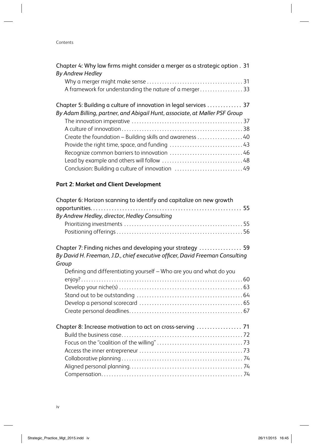| Chapter 4: Why law firms might consider a merger as a strategic option. 31 |  |
|----------------------------------------------------------------------------|--|
| <b>By Andrew Hedley</b>                                                    |  |
|                                                                            |  |
| A framework for understanding the nature of a merger33                     |  |
| Chapter 5: Building a culture of innovation in legal services  37          |  |
| By Adam Billing, partner, and Abigail Hunt, associate, at Møller PSF Group |  |
|                                                                            |  |
|                                                                            |  |
| Create the foundation - Building skills and awareness  40                  |  |
|                                                                            |  |
| Recognize common barriers to innovation  46                                |  |
|                                                                            |  |
| Conclusion: Building a culture of innovation 49                            |  |

### **Part 2: Market and Client Development**

| Chapter 6: Horizon scanning to identify and capitalize on new growth         |  |
|------------------------------------------------------------------------------|--|
| By Andrew Hedley, director, Hedley Consulting                                |  |
|                                                                              |  |
|                                                                              |  |
|                                                                              |  |
| Chapter 7: Finding niches and developing your strategy  59                   |  |
| By David H. Freeman, J.D., chief executive officer, David Freeman Consulting |  |
| Group                                                                        |  |
| Defining and differentiating yourself - Who are you and what do you          |  |
|                                                                              |  |
|                                                                              |  |
|                                                                              |  |
|                                                                              |  |
|                                                                              |  |
|                                                                              |  |
| Chapter 8: Increase motivation to act on cross-serving  71                   |  |
|                                                                              |  |
|                                                                              |  |
|                                                                              |  |
|                                                                              |  |
|                                                                              |  |
|                                                                              |  |
|                                                                              |  |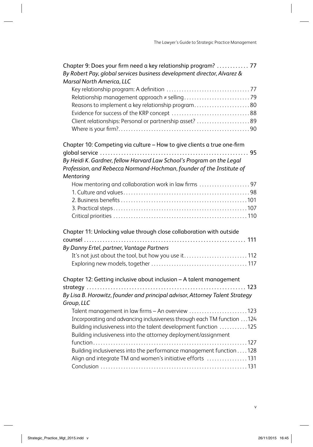| Chapter 9: Does your firm need a key relationship program?  77<br>By Robert Pay, global services business development director, Alvarez &<br>Marsal North America, LLC |
|------------------------------------------------------------------------------------------------------------------------------------------------------------------------|
|                                                                                                                                                                        |
|                                                                                                                                                                        |
| Reasons to implement a key relationship program80                                                                                                                      |
|                                                                                                                                                                        |
| Client relationships: Personal or partnership asset? 89                                                                                                                |
|                                                                                                                                                                        |
| Chapter 10: Competing via culture - How to give clients a true one-firm                                                                                                |
| By Heidi K. Gardner, fellow Harvard Law School's Program on the Legal                                                                                                  |
| Profession, and Rebecca Normand-Hochman, founder of the Institute of                                                                                                   |
| Mentoring                                                                                                                                                              |
| How mentoring and collaboration work in law firms 97                                                                                                                   |
|                                                                                                                                                                        |
|                                                                                                                                                                        |
|                                                                                                                                                                        |
|                                                                                                                                                                        |
|                                                                                                                                                                        |
| Chapter 11: Unlocking value through close collaboration with outside                                                                                                   |
|                                                                                                                                                                        |
| By Danny Ertel, partner, Vantage Partners                                                                                                                              |
| It's not just about the tool, but how you use it 112                                                                                                                   |
|                                                                                                                                                                        |
|                                                                                                                                                                        |
| Chapter 12: Getting inclusive about inclusion - A talent management                                                                                                    |
| By Lisa B. Horowitz, founder and principal advisor, Attorney Talent Strategy                                                                                           |
| Group, LLC                                                                                                                                                             |
| Talent management in law firms - An overview 123                                                                                                                       |
| Incorporating and advancing inclusiveness through each TM function  124                                                                                                |
| Building inclusiveness into the talent development function  125                                                                                                       |
| Building inclusiveness into the attorney deployment/assignment                                                                                                         |
|                                                                                                                                                                        |
| Building inclusiveness into the performance management function  . 128                                                                                                 |
| Align and integrate TM and women's initiative efforts 131                                                                                                              |
|                                                                                                                                                                        |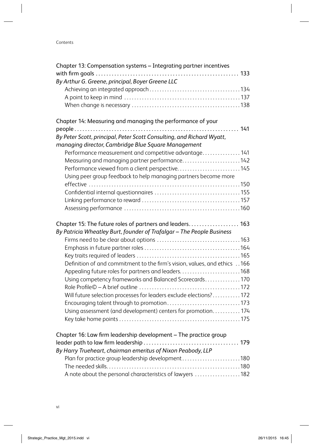| mren |
|------|
|------|

| Chapter 13: Compensation systems - Integrating partner incentives         |
|---------------------------------------------------------------------------|
|                                                                           |
| By Arthur G. Greene, principal, Boyer Greene LLC                          |
|                                                                           |
|                                                                           |
|                                                                           |
| Chapter 14: Measuring and managing the performance of your                |
|                                                                           |
| By Peter Scott, principal, Peter Scott Consulting, and Richard Wyatt,     |
| managing director, Cambridge Blue Square Management                       |
| Performance measurement and competitive advantage 141                     |
| Measuring and managing partner performance142                             |
| Performance viewed from a client perspective145                           |
| Using peer group feedback to help managing partners become more           |
|                                                                           |
|                                                                           |
|                                                                           |
|                                                                           |
|                                                                           |
| Chapter 15: The future roles of partners and leaders 163                  |
| By Patricia Wheatley Burt, founder of Trafalgar - The People Business     |
|                                                                           |
|                                                                           |
|                                                                           |
|                                                                           |
| Definition of and commitment to the firm's vision, values, and ethics 166 |
| Appealing future roles for partners and leaders168                        |
| Using competency frameworks and Balanced Scorecards170                    |
|                                                                           |
| Will future selection processes for leaders exclude elections?172         |
|                                                                           |
| Using assessment (and development) centers for promotion 174              |
|                                                                           |
|                                                                           |
| Chapter 16: Law firm leadership development - The practice group          |
|                                                                           |
| By Harry Trueheart, chairman emeritus of Nixon Peabody, LLP               |
| Plan for practice group leadership development180                         |
| A note about the personal characteristics of lawyers 182                  |

 $\frac{1}{\sqrt{2}}$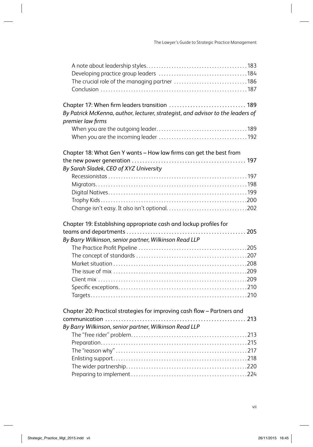| Chapter 17: When firm leaders transition  189                                   |  |
|---------------------------------------------------------------------------------|--|
| By Patrick McKenna, author, lecturer, strategist, and advisor to the leaders of |  |
| premier law firms                                                               |  |
|                                                                                 |  |
|                                                                                 |  |
| Chapter 18: What Gen Y wants - How law firms can get the best from              |  |
|                                                                                 |  |
| By Sarah Sladek, CEO of XYZ University                                          |  |
|                                                                                 |  |
|                                                                                 |  |
|                                                                                 |  |
|                                                                                 |  |
|                                                                                 |  |
|                                                                                 |  |
| Chapter 19: Establishing appropriate cash and lockup profiles for               |  |
|                                                                                 |  |
| By Barry Wilkinson, senior partner, Wilkinson Read LLP                          |  |
|                                                                                 |  |
|                                                                                 |  |
|                                                                                 |  |
|                                                                                 |  |
|                                                                                 |  |
|                                                                                 |  |
|                                                                                 |  |
| Chapter 20: Practical strategies for improving cash flow - Partners and         |  |
|                                                                                 |  |
| By Barry Wilkinson, senior partner, Wilkinson Read LLP                          |  |
|                                                                                 |  |
|                                                                                 |  |
|                                                                                 |  |
|                                                                                 |  |
|                                                                                 |  |
|                                                                                 |  |
|                                                                                 |  |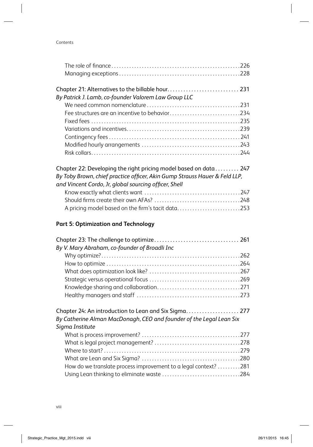| Chapter 21: Alternatives to the billable hour 231<br>By Patrick J. Lamb, co-founder Valorem Law Group LLC                                      |
|------------------------------------------------------------------------------------------------------------------------------------------------|
|                                                                                                                                                |
| Fee structures are an incentive to behavior234                                                                                                 |
|                                                                                                                                                |
|                                                                                                                                                |
|                                                                                                                                                |
|                                                                                                                                                |
|                                                                                                                                                |
| Chapter 22: Developing the right pricing model based on data 247<br>By Toby Brown, chief practice officer, Akin Gump Strauss Hauer & Feld LLP, |
| and Vincent Cordo, Jr, global sourcing officer, Shell                                                                                          |
|                                                                                                                                                |
|                                                                                                                                                |
| A pricing model based on the firm's tacit data253                                                                                              |
| <b>Part 5: Optimization and Technology</b>                                                                                                     |
|                                                                                                                                                |
| By V. Mary Abraham, co-founder of Broadli Inc                                                                                                  |
|                                                                                                                                                |
|                                                                                                                                                |
|                                                                                                                                                |
|                                                                                                                                                |
|                                                                                                                                                |
|                                                                                                                                                |
| Chapter 24: An introduction to Lean and Six Sigma 277                                                                                          |

| By Catherine Alman MacDonagh, CEO and founder of the Legal Lean Six |  |
|---------------------------------------------------------------------|--|
| Sigma Institute                                                     |  |

| How do we translate process improvement to a legal context? 281 |  |
|-----------------------------------------------------------------|--|
| Using Lean thinking to eliminate waste 284                      |  |
|                                                                 |  |

viii

 $\begin{array}{c} \hline \end{array}$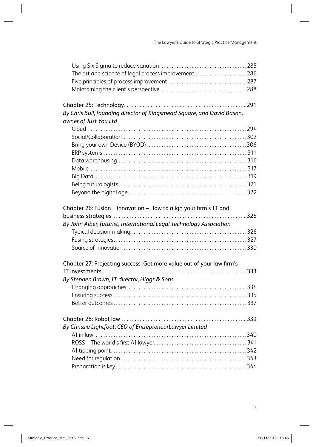| The art and science of legal process improvement286                    |  |
|------------------------------------------------------------------------|--|
|                                                                        |  |
|                                                                        |  |
| By Chris Bull, founding director of Kingsmead Square, and David Bason, |  |
| owner of Just You Ltd                                                  |  |
|                                                                        |  |
|                                                                        |  |
|                                                                        |  |
|                                                                        |  |
|                                                                        |  |
|                                                                        |  |
|                                                                        |  |
|                                                                        |  |
|                                                                        |  |
|                                                                        |  |
| Chapter 26: Fusion = innovation - How to align your firm's IT and      |  |
|                                                                        |  |
| By John Alber, futurist, International Legal Technology Association    |  |
|                                                                        |  |
|                                                                        |  |
|                                                                        |  |
|                                                                        |  |
| Chapter 27: Projecting success: Get more value out of your law firm's  |  |
|                                                                        |  |
| By Stephen Brown, IT director, Higgs & Sons                            |  |
|                                                                        |  |
|                                                                        |  |
|                                                                        |  |
|                                                                        |  |
| By Chrissie Lightfoot, CEO of EntrepreneurLawyer Limited               |  |
|                                                                        |  |
|                                                                        |  |
|                                                                        |  |
|                                                                        |  |
|                                                                        |  |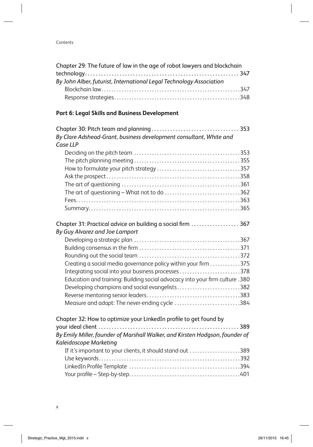$\overline{\phantom{a}}$ 

| Chapter 29: The future of law in the age of robot lawyers and blockchain |  |
|--------------------------------------------------------------------------|--|
|                                                                          |  |
| By John Alber, futurist, International Legal Technology Association      |  |
|                                                                          |  |
|                                                                          |  |
|                                                                          |  |

### **Part 6: Legal Skills and Business Development**

| By Clare Adshead-Grant, business development consultant, White and           |  |
|------------------------------------------------------------------------------|--|
| Case LLP                                                                     |  |
|                                                                              |  |
|                                                                              |  |
|                                                                              |  |
|                                                                              |  |
|                                                                              |  |
|                                                                              |  |
|                                                                              |  |
|                                                                              |  |
|                                                                              |  |
| Chapter 31: Practical advice on building a social firm  367                  |  |
| By Guy Alvarez and Joe Lamport                                               |  |
|                                                                              |  |
|                                                                              |  |
|                                                                              |  |
| Creating a social media governance policy within your firm 375               |  |
| Integrating social into your business processes 378                          |  |
| Education and training: Building social advocacy into your firm culture .380 |  |
| Developing champions and social evangelists382                               |  |
|                                                                              |  |
| Measure and adapt: The never-ending cycle 384                                |  |
| Chapter 32: How to optimize your LinkedIn profile to get found by            |  |
|                                                                              |  |
| By Emily Miller, founder of Marshall Walker, and Kirsten Hodgson, founder of |  |
| Kaleidoscope Marketing                                                       |  |
| If it's important to your clients, it should stand out 389                   |  |
|                                                                              |  |
|                                                                              |  |
|                                                                              |  |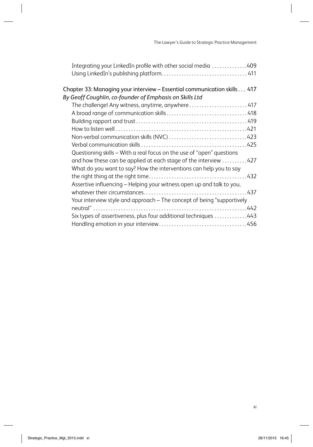| Integrating your LinkedIn profile with other social media 409            |  |
|--------------------------------------------------------------------------|--|
|                                                                          |  |
| Chapter 33: Managing your interview - Essential communication skills 417 |  |
| By Geoff Coughlin, co-founder of Emphasis on Skills Ltd                  |  |
| The challenge! Any witness, anytime, anywhere 417                        |  |
|                                                                          |  |
|                                                                          |  |
|                                                                          |  |
|                                                                          |  |
|                                                                          |  |
| Questioning skills - With a real focus on the use of "open" questions    |  |
| and how these can be applied at each stage of the interview 427          |  |
| What do you want to say? How the interventions can help you to say       |  |
|                                                                          |  |
| Assertive influencing - Helping your witness open up and talk to you,    |  |
|                                                                          |  |
| Your interview style and approach - The concept of being "supportively   |  |
|                                                                          |  |
| Six types of assertiveness, plus four additional techniques 443          |  |
|                                                                          |  |
|                                                                          |  |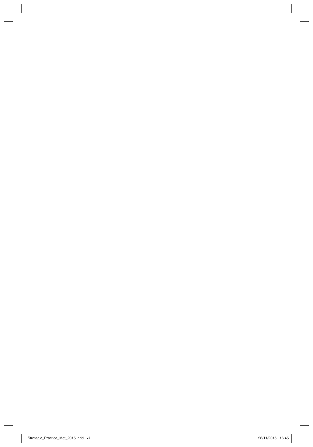$\overline{\phantom{a}}$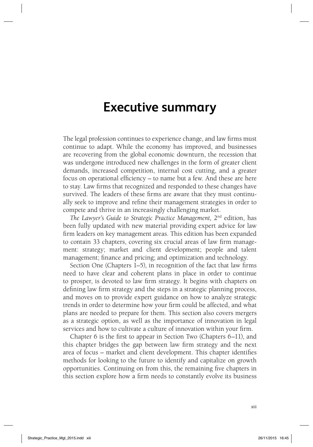## **Executive summary**

The legal profession continues to experience change, and law firms must continue to adapt. While the economy has improved, and businesses are recovering from the global economic downturn, the recession that was undergone introduced new challenges in the form of greater client demands, increased competition, internal cost cutting, and a greater focus on operational efficiency – to name but a few. And these are here to stay. Law firms that recognized and responded to these changes have survived. The leaders of these firms are aware that they must continually seek to improve and refine their management strategies in order to compete and thrive in an increasingly challenging market.

*The Lawyer's Guide to Strategic Practice Management,* 2<sup>nd</sup> edition, has been fully updated with new material providing expert advice for law firm leaders on key management areas. This edition has been expanded to contain 33 chapters, covering six crucial areas of law firm management: strategy; market and client development; people and talent management; finance and pricing; and optimization and technology.

Section One (Chapters 1–5), in recognition of the fact that law firms need to have clear and coherent plans in place in order to continue to prosper, is devoted to law firm strategy. It begins with chapters on defining law firm strategy and the steps in a strategic planning process, and moves on to provide expert guidance on how to analyze strategic trends in order to determine how your firm could be affected, and what plans are needed to prepare for them. This section also covers mergers as a strategic option, as well as the importance of innovation in legal services and how to cultivate a culture of innovation within your firm.

Chapter 6 is the first to appear in Section Two (Chapters  $6-11$ ), and this chapter bridges the gap between law firm strategy and the next area of focus – market and client development. This chapter identifies methods for looking to the future to identify and capitalize on growth opportunities. Continuing on from this, the remaining five chapters in this section explore how a firm needs to constantly evolve its business

xiii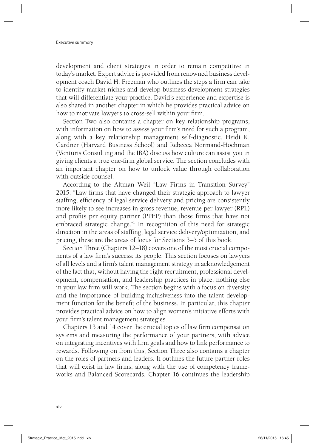development and client strategies in order to remain competitive in today's market. Expert advice is provided from renowned business development coach David H. Freeman who outlines the steps a firm can take to identify market niches and develop business development strategies that will differentiate your practice. David's experience and expertise is also shared in another chapter in which he provides practical advice on how to motivate lawyers to cross-sell within your firm.

Section Two also contains a chapter on key relationship programs, with information on how to assess your firm's need for such a program, along with a key relationship management self-diagnostic. Heidi K. Gardner (Harvard Business School) and Rebecca Normand-Hochman (Venturis Consulting and the IBA) discuss how culture can assist you in giving clients a true one-firm global service. The section concludes with an important chapter on how to unlock value through collaboration with outside counsel.

According to the Altman Weil "Law Firms in Transition Survey" 2015: "Law firms that have changed their strategic approach to lawyer staffing, efficiency of legal service delivery and pricing are consistently more likely to see increases in gross revenue, revenue per lawyer (RPL) and profits per equity partner (PPEP) than those firms that have not embraced strategic change."1 In recognition of this need for strategic direction in the areas of staffing, legal service delivery/optimization, and pricing, these are the areas of focus for Sections 3–5 of this book.

Section Three (Chapters 12–18) covers one of the most crucial components of a law firm's success: its people. This section focuses on lawyers of all levels and a firm's talent management strategy in acknowledgement of the fact that, without having the right recruitment, professional development, compensation, and leadership practices in place, nothing else in your law firm will work. The section begins with a focus on diversity and the importance of building inclusiveness into the talent development function for the benefit of the business. In particular, this chapter provides practical advice on how to align women's initiative efforts with your firm's talent management strategies.

Chapters 13 and 14 cover the crucial topics of law firm compensation systems and measuring the performance of your partners, with advice on integrating incentives with firm goals and how to link performance to rewards. Following on from this, Section Three also contains a chapter on the roles of partners and leaders. It outlines the future partner roles that will exist in law firms, along with the use of competency frameworks and Balanced Scorecards. Chapter 16 continues the leadership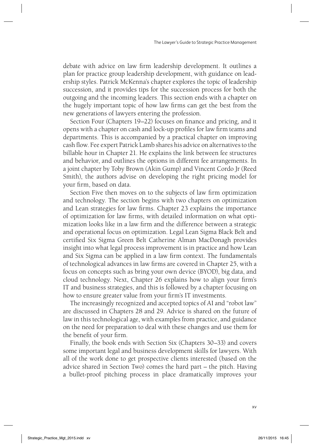debate with advice on law firm leadership development. It outlines a plan for practice group leadership development, with guidance on leadership styles. Patrick McKenna's chapter explores the topic of leadership succession, and it provides tips for the succession process for both the outgoing and the incoming leaders. This section ends with a chapter on the hugely important topic of how law firms can get the best from the new generations of lawyers entering the profession.

Section Four (Chapters 19–22) focuses on finance and pricing, and it opens with a chapter on cash and lock-up profiles for law firm teams and departments. This is accompanied by a practical chapter on improving cash flow. Fee expert Patrick Lamb shares his advice on alternatives to the billable hour in Chapter 21. He explains the link between fee structures and behavior, and outlines the options in different fee arrangements. In a joint chapter by Toby Brown (Akin Gump) and Vincent Cordo Jr (Reed Smith), the authors advise on developing the right pricing model for your firm, based on data.

Section Five then moves on to the subjects of law firm optimization and technology. The section begins with two chapters on optimization and Lean strategies for law firms. Chapter 23 explains the importance of optimization for law firms, with detailed information on what optimization looks like in a law firm and the difference between a strategic and operational focus on optimization. Legal Lean Sigma Black Belt and certified Six Sigma Green Belt Catherine Alman MacDonagh provides insight into what legal process improvement is in practice and how Lean and Six Sigma can be applied in a law firm context. The fundamentals of technological advances in law firms are covered in Chapter 25, with a focus on concepts such as bring your own device (BYOD), big data, and cloud technology. Next, Chapter 26 explains how to align your firm's IT and business strategies, and this is followed by a chapter focusing on how to ensure greater value from your firm's IT investments.

The increasingly recognized and accepted topics of AI and "robot law" are discussed in Chapters 28 and 29. Advice is shared on the future of law in this technological age, with examples from practice, and guidance on the need for preparation to deal with these changes and use them for the benefit of your firm.

Finally, the book ends with Section Six (Chapters 30–33) and covers some important legal and business development skills for lawyers. With all of the work done to get prospective clients interested (based on the advice shared in Section Two) comes the hard part – the pitch. Having a bullet-proof pitching process in place dramatically improves your